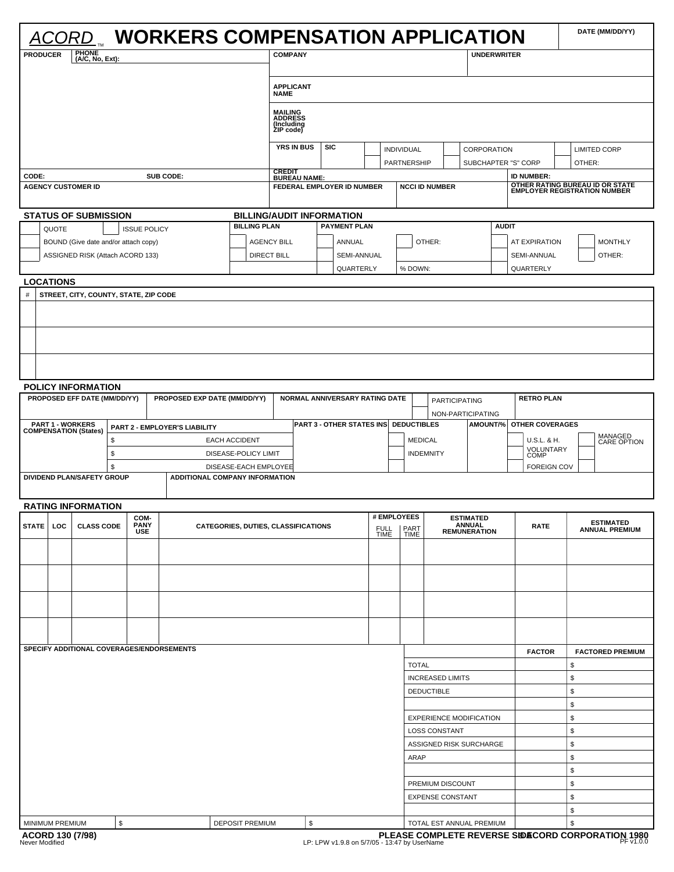|                                                                                          |                                        | CORD                                  |    |                                              |                                           |                                                                |                                                                    | <b>WORKERS COMPENSATION APPLICATION</b> |                                                    |                           |                                                                |                                      |                        |                                                                        | DATE (MM/DD/YY)         |  |
|------------------------------------------------------------------------------------------|----------------------------------------|---------------------------------------|----|----------------------------------------------|-------------------------------------------|----------------------------------------------------------------|--------------------------------------------------------------------|-----------------------------------------|----------------------------------------------------|---------------------------|----------------------------------------------------------------|--------------------------------------|------------------------|------------------------------------------------------------------------|-------------------------|--|
| <b>PRODUCER</b>                                                                          |                                        | <b>PHONE</b><br>(A/C, No, Ext):       |    |                                              |                                           |                                                                | <b>COMPANY</b>                                                     |                                         |                                                    |                           |                                                                | <b>UNDERWRITER</b>                   |                        |                                                                        |                         |  |
|                                                                                          |                                        |                                       |    |                                              |                                           |                                                                | <b>APPLICANT</b><br><b>NAME</b>                                    |                                         |                                                    |                           |                                                                |                                      |                        |                                                                        |                         |  |
|                                                                                          |                                        |                                       |    |                                              |                                           | <b>MAILING<br/>ADDRESS</b><br>(Including<br>ZIP code)          |                                                                    |                                         |                                                    |                           |                                                                |                                      |                        |                                                                        |                         |  |
|                                                                                          |                                        |                                       |    |                                              |                                           |                                                                | <b>YRS IN BUS</b>                                                  | <b>SIC</b>                              |                                                    | INDIVIDUAL<br>PARTNERSHIP |                                                                | CORPORATION<br>SUBCHAPTER "S" CORP   |                        | OTHER:                                                                 | <b>LIMITED CORP</b>     |  |
| CODE:                                                                                    | SUB CODE:<br><b>AGENCY CUSTOMER ID</b> |                                       |    |                                              |                                           |                                                                | <b>CREDIT</b><br><b>BUREAU NAME:</b><br>FEDERAL EMPLOYER ID NUMBER |                                         |                                                    |                           | <b>NCCI ID NUMBER</b>                                          |                                      | <b>ID NUMBER:</b>      | OTHER RATING BUREAU ID OR STATE<br><b>EMPLOYER REGISTRATION NUMBER</b> |                         |  |
|                                                                                          |                                        | <b>STATUS OF SUBMISSION</b>           |    |                                              |                                           |                                                                |                                                                    | <b>BILLING/AUDIT INFORMATION</b>        |                                                    |                           |                                                                |                                      |                        |                                                                        |                         |  |
|                                                                                          | QUOTE                                  |                                       |    | <b>ISSUE POLICY</b>                          |                                           | <b>BILLING PLAN</b>                                            |                                                                    | <b>PAYMENT PLAN</b>                     |                                                    |                           |                                                                |                                      | <b>AUDIT</b>           |                                                                        |                         |  |
|                                                                                          |                                        | BOUND (Give date and/or attach copy)  |    |                                              |                                           |                                                                | <b>AGENCY BILL</b><br>ANNUAL                                       |                                         |                                                    | OTHER:                    |                                                                |                                      | AT EXPIRATION          |                                                                        | <b>MONTHLY</b>          |  |
|                                                                                          |                                        | ASSIGNED RISK (Attach ACORD 133)      |    |                                              |                                           |                                                                | <b>DIRECT BILL</b>                                                 | SEMI-ANNUAL                             |                                                    |                           |                                                                |                                      | SEMI-ANNUAL            |                                                                        | OTHER:                  |  |
| <b>LOCATIONS</b>                                                                         |                                        |                                       |    |                                              |                                           |                                                                |                                                                    | QUARTERLY                               |                                                    | % DOWN:                   |                                                                |                                      | QUARTERLY              |                                                                        |                         |  |
| $\#$                                                                                     |                                        | STREET, CITY, COUNTY, STATE, ZIP CODE |    |                                              |                                           |                                                                |                                                                    |                                         |                                                    |                           |                                                                |                                      |                        |                                                                        |                         |  |
|                                                                                          |                                        |                                       |    |                                              |                                           |                                                                |                                                                    |                                         |                                                    |                           |                                                                |                                      |                        |                                                                        |                         |  |
|                                                                                          |                                        |                                       |    |                                              |                                           |                                                                |                                                                    |                                         |                                                    |                           |                                                                |                                      |                        |                                                                        |                         |  |
|                                                                                          |                                        |                                       |    |                                              |                                           |                                                                |                                                                    |                                         |                                                    |                           |                                                                |                                      |                        |                                                                        |                         |  |
|                                                                                          |                                        | <b>POLICY INFORMATION</b>             |    |                                              |                                           |                                                                |                                                                    |                                         |                                                    |                           |                                                                |                                      |                        |                                                                        |                         |  |
|                                                                                          |                                        | PROPOSED EFF DATE (MM/DD/YY)          |    |                                              |                                           | PROPOSED EXP DATE (MM/DD/YY)                                   | NORMAL ANNIVERSARY RATING DATE                                     |                                         |                                                    |                           | <b>RETRO PLAN</b><br><b>PARTICIPATING</b><br>NON-PARTICIPATING |                                      |                        |                                                                        |                         |  |
| <b>PART 1 - WORKERS</b><br>PART 2 - EMPLOYER'S LIABILITY<br><b>COMPENSATION (States)</b> |                                        |                                       |    |                                              | PART 3 - OTHER STATES INS DEDUCTIBLES     |                                                                |                                                                    |                                         |                                                    |                           | AMOUNT/% OTHER COVERAGES                                       |                                      |                        |                                                                        |                         |  |
|                                                                                          | \$<br>\$                               |                                       |    | <b>EACH ACCIDENT</b><br>DISEASE-POLICY LIMIT |                                           |                                                                |                                                                    |                                         | <b>MEDICAL</b><br><b>INDEMNITY</b>                 |                           | U.S.L. & H.<br>VOLUNTARY<br><b>COMP</b>                        |                                      | MANAGED<br>CARE OPTION |                                                                        |                         |  |
|                                                                                          |                                        | DIVIDEND PLAN/SAFETY GROUP            | \$ |                                              |                                           | DISEASE-EACH EMPLOYEE<br><b>ADDITIONAL COMPANY INFORMATION</b> |                                                                    |                                         |                                                    |                           |                                                                |                                      | <b>FOREIGN COV</b>     |                                                                        |                         |  |
|                                                                                          |                                        |                                       |    |                                              |                                           |                                                                |                                                                    |                                         |                                                    |                           |                                                                |                                      |                        |                                                                        |                         |  |
|                                                                                          |                                        | <b>RATING INFORMATION</b>             |    | COM-                                         |                                           |                                                                |                                                                    | # EMPLOYEES                             |                                                    |                           |                                                                | <b>ESTIMATED</b>                     |                        |                                                                        | <b>ESTIMATED</b>        |  |
| STATE LOC                                                                                |                                        | <b>CLASS CODE</b>                     |    | <b>PANY</b><br><b>USE</b>                    |                                           |                                                                | CATEGORIES, DUTIES, CLASSIFICATIONS<br><b>FULL</b><br><b>TIME</b>  |                                         |                                                    | PART<br><b>TIME</b>       |                                                                | <b>ANNUAL</b><br><b>REMUNERATION</b> | <b>RATE</b>            |                                                                        | <b>ANNUAL PREMIUM</b>   |  |
|                                                                                          |                                        |                                       |    |                                              |                                           |                                                                |                                                                    |                                         |                                                    |                           |                                                                |                                      |                        |                                                                        |                         |  |
|                                                                                          |                                        |                                       |    |                                              |                                           |                                                                |                                                                    |                                         |                                                    |                           |                                                                |                                      |                        |                                                                        |                         |  |
|                                                                                          |                                        |                                       |    |                                              |                                           |                                                                |                                                                    |                                         |                                                    |                           |                                                                |                                      |                        |                                                                        |                         |  |
|                                                                                          |                                        |                                       |    |                                              |                                           |                                                                |                                                                    |                                         |                                                    |                           |                                                                |                                      |                        |                                                                        |                         |  |
|                                                                                          |                                        |                                       |    |                                              | SPECIFY ADDITIONAL COVERAGES/ENDORSEMENTS |                                                                |                                                                    |                                         |                                                    |                           |                                                                |                                      | <b>FACTOR</b>          |                                                                        | <b>FACTORED PREMIUM</b> |  |
|                                                                                          |                                        |                                       |    |                                              |                                           |                                                                |                                                                    |                                         |                                                    | <b>TOTAL</b>              |                                                                |                                      |                        | \$<br>\$                                                               |                         |  |
|                                                                                          |                                        |                                       |    |                                              |                                           |                                                                |                                                                    |                                         | <b>INCREASED LIMITS</b><br>\$<br><b>DEDUCTIBLE</b> |                           |                                                                |                                      |                        |                                                                        |                         |  |
|                                                                                          |                                        |                                       |    |                                              |                                           |                                                                |                                                                    |                                         | \$                                                 |                           |                                                                |                                      |                        |                                                                        |                         |  |
|                                                                                          |                                        |                                       |    |                                              |                                           |                                                                |                                                                    | \$<br><b>EXPERIENCE MODIFICATION</b>    |                                                    |                           |                                                                |                                      |                        |                                                                        |                         |  |
|                                                                                          |                                        |                                       |    |                                              |                                           |                                                                |                                                                    | <b>LOSS CONSTANT</b>                    | ASSIGNED RISK SURCHARGE                            |                           | \$<br>\$                                                       |                                      |                        |                                                                        |                         |  |
|                                                                                          |                                        |                                       |    |                                              |                                           |                                                                |                                                                    |                                         |                                                    | ARAP                      |                                                                |                                      |                        | \$                                                                     |                         |  |
|                                                                                          |                                        |                                       |    |                                              |                                           |                                                                |                                                                    |                                         |                                                    |                           |                                                                |                                      |                        | \$                                                                     |                         |  |
|                                                                                          |                                        |                                       |    |                                              |                                           |                                                                |                                                                    |                                         |                                                    |                           | PREMIUM DISCOUNT                                               |                                      |                        | \$                                                                     |                         |  |
|                                                                                          |                                        |                                       |    |                                              |                                           |                                                                |                                                                    |                                         |                                                    |                           | <b>EXPENSE CONSTANT</b>                                        |                                      |                        | \$<br>\$                                                               |                         |  |
| \$<br>MINIMUM PREMIUM<br><b>DEPOSIT PREMIUM</b>                                          |                                        |                                       |    |                                              | \$<br>\$<br>TOTAL EST ANNUAL PREMIUM      |                                                                |                                                                    |                                         |                                                    |                           |                                                                |                                      |                        |                                                                        |                         |  |